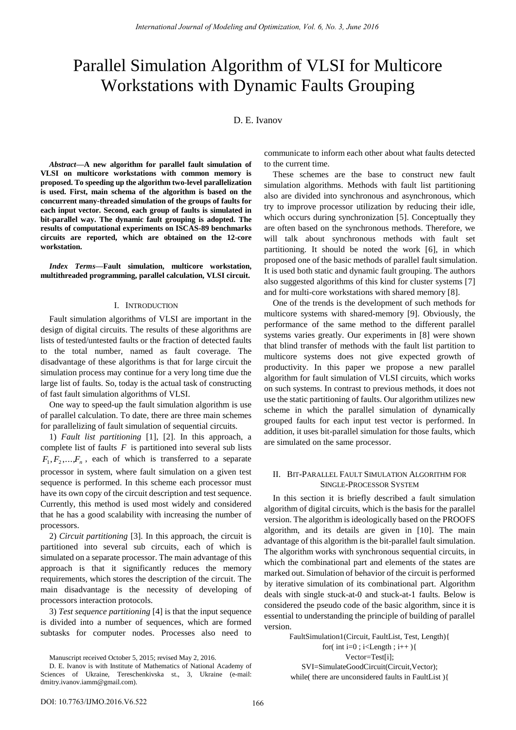# Parallel Simulation Algorithm of VLSI for Multicore Workstations with Dynamic Faults Grouping

## D. E. Ivanov

*Abstract***—A new algorithm for parallel fault simulation of VLSI on multicore workstations with common memory is proposed. To speeding up the algorithm two-level parallelization is used. First, main schema of the algorithm is based on the concurrent many-threaded simulation of the groups of faults for each input vector. Second, each group of faults is simulated in bit-parallel way. The dynamic fault grouping is adopted. The results of computational experiments on ISCAS-89 benchmarks circuits are reported, which are obtained on the 12-core workstation.** 

*Index Terms***—Fault simulation, multicore workstation, multithreaded programming, parallel calculation, VLSI circuit.** 

#### I. INTRODUCTION

Fault simulation algorithms of VLSI are important in the design of digital circuits. The results of these algorithms are lists of tested/untested faults or the fraction of detected faults to the total number, named as fault coverage. The disadvantage of these algorithms is that for large circuit the simulation process may continue for a very long time due the large list of faults. So, today is the actual task of constructing of fast fault simulation algorithms of VLSI.

One way to speed-up the fault simulation algorithm is use of parallel calculation. To date, there are three main schemes for parallelizing of fault simulation of sequential circuits.

1) *Fault list partitioning* [1], [2]. In this approach, a complete list of faults  $F$  is partitioned into several sub lists  $F_1, F_2, \ldots, F_n$ , each of which is transferred to a separate processor in system, where fault simulation on a given test sequence is performed. In this scheme each processor must have its own copy of the circuit description and test sequence. Currently, this method is used most widely and considered that he has a good scalability with increasing the number of processors.

2) *Circuit partitioning* [3]. In this approach, the circuit is partitioned into several sub circuits, each of which is simulated on a separate processor. The main advantage of this approach is that it significantly reduces the memory requirements, which stores the description of the circuit. The main disadvantage is the necessity of developing of processors interaction protocols.

3) *Test sequence partitioning* [4] is that the input sequence is divided into a number of sequences, which are formed subtasks for computer nodes. Processes also need to communicate to inform each other about what faults detected to the current time.

These schemes are the base to construct new fault simulation algorithms. Methods with fault list partitioning also are divided into synchronous and asynchronous, which try to improve processor utilization by reducing their idle, which occurs during synchronization [5]. Conceptually they are often based on the synchronous methods. Therefore, we will talk about synchronous methods with fault set partitioning. It should be noted the work [6], in which proposed one of the basic methods of parallel fault simulation. It is used both static and dynamic fault grouping. The authors also suggested algorithms of this kind for cluster systems [7] and for multi-core workstations with shared memory [8].

One of the trends is the development of such methods for multicore systems with shared-memory [9]. Obviously, the performance of the same method to the different parallel systems varies greatly. Our experiments in [8] were shown that blind transfer of methods with the fault list partition to multicore systems does not give expected growth of productivity. In this paper we propose a new parallel algorithm for fault simulation of VLSI circuits, which works on such systems. In contrast to previous methods, it does not use the static partitioning of faults. Our algorithm utilizes new scheme in which the parallel simulation of dynamically grouped faults for each input test vector is performed. In addition, it uses bit-parallel simulation for those faults, which are simulated on the same processor.

## II. BIT-PARALLEL FAULT SIMULATION ALGORITHM FOR SINGLE-PROCESSOR SYSTEM

In this section it is briefly described a fault simulation algorithm of digital circuits, which is the basis for the parallel version. The algorithm is ideologically based on the PROOFS algorithm, and its details are given in [10]. The main advantage of this algorithm is the bit-parallel fault simulation. The algorithm works with synchronous sequential circuits, in which the combinational part and elements of the states are marked out. Simulation of behavior of the circuit is performed by iterative simulation of its combinational part. Algorithm deals with single stuck-at-0 and stuck-at-1 faults. Below is considered the pseudo code of the basic algorithm, since it is essential to understanding the principle of building of parallel version.

FaultSimulation1(Circuit, FaultList, Test, Length){ for( int i=0 ; i<Length ; i++  $\}$ { Vector=Test[i]; SVI=SimulateGoodCircuit(Circuit,Vector); while( there are unconsidered faults in FaultList ){

Manuscript received October 5, 2015; revised May 2, 2016.

D. E. Ivanov is with Institute of Mathematics of National Academy of Sciences of Ukraine, Tereschenkivska st., 3, Ukraine (e-mail: dmitry.ivanov.iamm@gmail.com).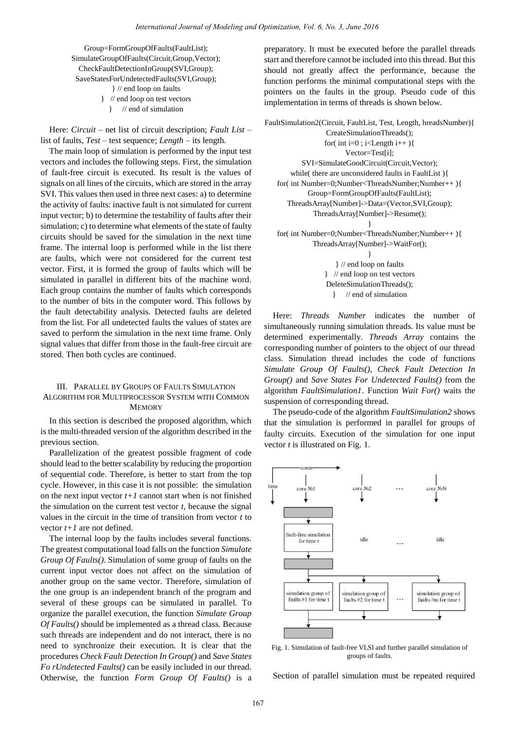Group=FormGroupOfFaults(FaultList); SimulateGroupOfFaults(Circuit,Group,Vector); CheckFaultDetectionInGroup(SVI,Group); SaveStatesForUndetectedFaults(SVI,Group); } // end loop on faults } // end loop on test vectors

} // end of simulation

Here: *Circuit* – net list of circuit description; *Fault List* – list of faults, *Test* – test sequence; *Length* – its length.

The main loop of simulation is performed by the input test vectors and includes the following steps. First, the simulation of fault-free circuit is executed. Its result is the values of signals on all lines of the circuits, which are stored in the array SVI. This values then used in three next cases: a) to determine the activity of faults: inactive fault is not simulated for current input vector; b) to determine the testability of faults after their simulation; c) to determine what elements of the state of faulty circuits should be saved for the simulation in the next time frame. The internal loop is performed while in the list there are faults, which were not considered for the current test vector. First, it is formed the group of faults which will be simulated in parallel in different bits of the machine word. Each group contains the number of faults which corresponds to the number of bits in the computer word. This follows by the fault detectability analysis. Detected faults are deleted from the list. For all undetected faults the values of states are saved to perform the simulation in the next time frame. Only signal values that differ from those in the fault-free circuit are stored. Then both cycles are continued. *International Journal of Modeling and Optimization, Vol. 6, No. 3, June 2016*<br> **International Since the Secure of Modeling and Theorem Content and the exercution of the model and the content and the content and the conten** 

## III. PARALLEL BY GROUPS OF FAULTS SIMULATION ALGORITHM FOR MULTIPROCESSOR SYSTEM WITH COMMON **MEMORY**

In this section is described the proposed algorithm, which is the multi-threaded version of the algorithm described in the previous section.

Parallelization of the greatest possible fragment of code should lead to the better scalability by reducing the proportion of sequential code. Therefore, is better to start from the top cycle. However, in this case it is not possible: the simulation on the next input vector  $t+1$  cannot start when is not finished the simulation on the current test vector *t*, because the signal values in the circuit in the time of transition from vector *t* to vector *t+1* are not defined.

The internal loop by the faults includes several functions. The greatest computational load falls on the function *Simulate Group Of Faults()*. Simulation of some group of faults on the current input vector does not affect on the simulation of another group on the same vector. Therefore, simulation of the one group is an independent branch of the program and several of these groups can be simulated in parallel. To organize the parallel execution, the function *Simulate Group Of Faults()* should be implemented as a thread class. Because such threads are independent and do not interact, there is no need to synchronize their execution. It is clear that the procedures *Check Fault Detection In Group()* and *Save States Fo rUndetected Faults()* can be easily included in our thread. Otherwise, the function *Form Group Of Faults()* is a preparatory. It must be executed before the parallel threads start and therefore cannot be included into this thread. But this should not greatly affect the performance, because the function performs the minimal computational steps with the pointers on the faults in the group. Pseudo code of this implementation in terms of threads is shown below.

```
FaultSimulation2(Circuit, FaultList, Test, Length, hreadsNumber){ 
                  CreateSimulationThreads(); 
                  for( int i=0 ; i<Length i++ ){
                        Vector=Test[i]; 
           SVI=SimulateGoodCircuit(Circuit,Vector); 
       while( there are unconsidered faults in FaultList ){ 
   for( int Number=0;Number<ThreadsNumber;Number++ ){ 
             Group=FormGroupOfFaults(FaultList); 
      ThreadsArray[Number]->Data=(Vector,SVI,Group); 
              ThreadsArray[Number]->Resume(); 
                               }
   for( int Number=0;Number<ThreadsNumber;Number++ ){ 
              ThreadsArray[Number]->WaitFor(); 
                               }
                     } // end loop on faults 
                  } // end loop on test vectors
```
DeleteSimulationThreads(); } // end of simulation

Here: *Threads Number* indicates the number of simultaneously running simulation threads. Its value must be determined experimentally. *Threads Array* contains the corresponding number of pointers to the object of our thread class. Simulation thread includes the code of functions *Simulate Group Of Faults()*, *Check Fault Detection In Group()* and *Save States For Undetected Faults()* from the algorithm *FaultSimulation1*. Function *Wait For()* waits the suspension of corresponding thread.

The pseudo-code of the algorithm *FaultSimulation2* shows that the simulation is performed in parallel for groups of faulty circuits. Execution of the simulation for one input vector *t* is illustrated on Fig. 1.



Fig. 1. Simulation of fault-free VLSI and further parallel simulation of groups of faults.

Section of parallel simulation must be repeated required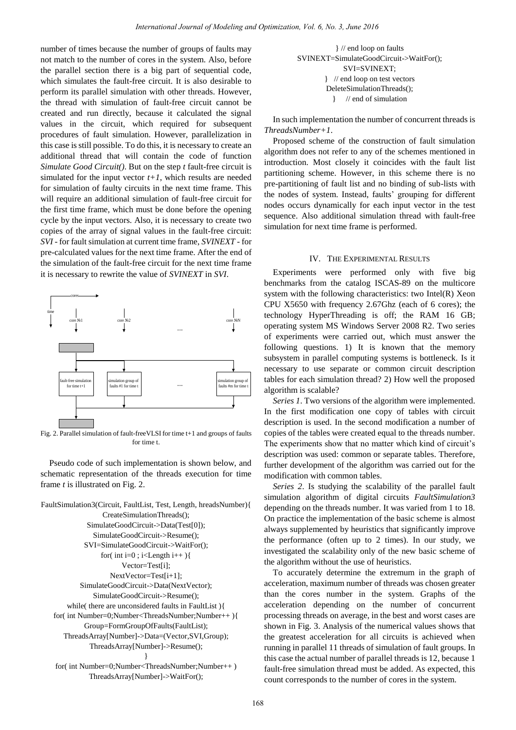number of times because the number of groups of faults may not match to the number of cores in the system. Also, before the parallel section there is a big part of sequential code, which simulates the fault-free circuit. It is also desirable to perform its parallel simulation with other threads. However, the thread with simulation of fault-free circuit cannot be created and run directly, because it calculated the signal values in the circuit, which required for subsequent procedures of fault simulation. However, parallelization in this case is still possible. To do this, it is necessary to create an additional thread that will contain the code of function *Simulate Good Circuit()*. But on the step *t* fault-free circuit is simulated for the input vector  $t+1$ , which results are needed for simulation of faulty circuits in the next time frame. This will require an additional simulation of fault-free circuit for the first time frame, which must be done before the opening cycle by the input vectors. Also, it is necessary to create two copies of the array of signal values in the fault-free circuit: *SVI* - for fault simulation at current time frame, *SVINEXT* - for pre-calculated values for the next time frame. After the end of the simulation of the fault-free circuit for the next time frame it is necessary to rewrite the value of *SVINEXT* in *SVI*. *International Journal of Modeling and Optimization, Vol. 6, No. 3, June 2018*<br>
exacts in the system. Also, before the system and the system of groups of Euclide to the system of the system of the system of the system of t



Fig. 2. Parallel simulation of fault-freeVLSI for time t+1 and groups of faults for time t.

Pseudo code of such implementation is shown below, and schematic representation of the threads execution for time frame *t* is illustrated on Fig. 2.

```
FaultSimulation3(Circuit, FaultList, Test, Length, hreadsNumber){ 
                  CreateSimulationThreads(); 
             SimulateGoodCircuit->Data(Test[0]); 
               SimulateGoodCircuit->Resume(); 
            SVI=SimulateGoodCircuit->WaitFor(); 
                  for( int i=0 ; i<Length i++ ){
                        Vector=Test[i]; 
                    NextVector=Test[i+1]; 
           SimulateGoodCircuit->Data(NextVector); 
               SimulateGoodCircuit->Resume(); 
       while( there are unconsidered faults in FaultList ){ 
   for( int Number=0;Number<ThreadsNumber;Number++ ){ 
             Group=FormGroupOfFaults(FaultList); 
      ThreadsArray[Number]->Data=(Vector,SVI,Group); 
              ThreadsArray[Number]->Resume(); 
                               }
    for( int Number=0;Number<ThreadsNumber;Number++ )
```
ThreadsArray[Number]->WaitFor();

} // end loop on faults SVINEXT=SimulateGoodCircuit->WaitFor(); SVI=SVINEXT; } // end loop on test vectors DeleteSimulationThreads(); } // end of simulation

In such implementation the number of concurrent threads is *ThreadsNumber+1*.

Proposed scheme of the construction of fault simulation algorithm does not refer to any of the schemes mentioned in introduction. Most closely it coincides with the fault list partitioning scheme. However, in this scheme there is no pre-partitioning of fault list and no binding of sub-lists with the nodes of system. Instead, faults' grouping for different nodes occurs dynamically for each input vector in the test sequence. Also additional simulation thread with fault-free simulation for next time frame is performed.

## IV. THE EXPERIMENTAL RESULTS

Experiments were performed only with five big benchmarks from the catalog ISCAS-89 on the multicore system with the following characteristics: two Intel(R) Xeon CPU X5650 with frequency 2.67Ghz (each of 6 cores); the technology HyperThreading is off; the RAM 16 GB; operating system MS Windows Server 2008 R2. Two series of experiments were carried out, which must answer the following questions. 1) It is known that the memory subsystem in parallel computing systems is bottleneck. Is it necessary to use separate or common circuit description tables for each simulation thread? 2) How well the proposed algorithm is scalable?

*Series 1*. Two versions of the algorithm were implemented. In the first modification one copy of tables with circuit description is used. In the second modification a number of copies of the tables were created equal to the threads number. The experiments show that no matter which kind of circuit's description was used: common or separate tables. Therefore, further development of the algorithm was carried out for the modification with common tables.

*Series 2*. Is studying the scalability of the parallel fault simulation algorithm of digital circuits *FaultSimulation3* depending on the threads number. It was varied from 1 to 18. On practice the implementation of the basic scheme is almost always supplemented by heuristics that significantly improve the performance (often up to 2 times). In our study, we investigated the scalability only of the new basic scheme of the algorithm without the use of heuristics.

To accurately determine the extremum in the graph of acceleration, maximum number of threads was chosen greater than the cores number in the system. Graphs of the acceleration depending on the number of concurrent processing threads on average, in the best and worst cases are shown in Fig. 3. Analysis of the numerical values shows that the greatest acceleration for all circuits is achieved when running in parallel 11 threads of simulation of fault groups. In this case the actual number of parallel threads is 12, because 1 fault-free simulation thread must be added. As expected, this count corresponds to the number of cores in the system.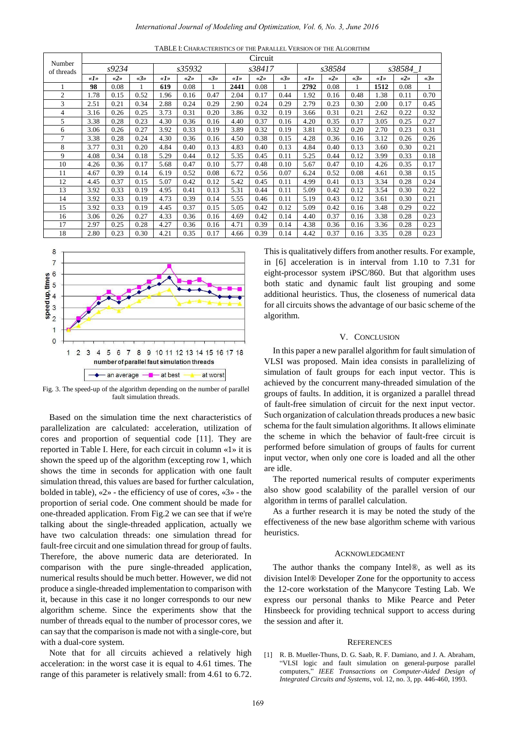|                                                                                                                                                                                                                                                                                                                                                                                                                                                                                                                                                                                                                                                                                                                                                                                                                                                                                                                                                                                                                                                                                                                                                                                                                                                                                                                                                                                                                                                                                                                                                                                                                                                                               |                                                                                                                                                                                                                                                                                                                                                                                                                                                                                                                                                                                                                                                                                                                                                                                                                                                                                                                                                                                                                                 |                   |                     |                                        |                 |              |              | International Journal of Modeling and Optimization, Vol. 6, No. 3, June 2016 |                                                                                                                                                                                                                                                      |                                                                              |                 |                     |                   |              |                                                                                                                                                      |  |
|-------------------------------------------------------------------------------------------------------------------------------------------------------------------------------------------------------------------------------------------------------------------------------------------------------------------------------------------------------------------------------------------------------------------------------------------------------------------------------------------------------------------------------------------------------------------------------------------------------------------------------------------------------------------------------------------------------------------------------------------------------------------------------------------------------------------------------------------------------------------------------------------------------------------------------------------------------------------------------------------------------------------------------------------------------------------------------------------------------------------------------------------------------------------------------------------------------------------------------------------------------------------------------------------------------------------------------------------------------------------------------------------------------------------------------------------------------------------------------------------------------------------------------------------------------------------------------------------------------------------------------------------------------------------------------|---------------------------------------------------------------------------------------------------------------------------------------------------------------------------------------------------------------------------------------------------------------------------------------------------------------------------------------------------------------------------------------------------------------------------------------------------------------------------------------------------------------------------------------------------------------------------------------------------------------------------------------------------------------------------------------------------------------------------------------------------------------------------------------------------------------------------------------------------------------------------------------------------------------------------------------------------------------------------------------------------------------------------------|-------------------|---------------------|----------------------------------------|-----------------|--------------|--------------|------------------------------------------------------------------------------|------------------------------------------------------------------------------------------------------------------------------------------------------------------------------------------------------------------------------------------------------|------------------------------------------------------------------------------|-----------------|---------------------|-------------------|--------------|------------------------------------------------------------------------------------------------------------------------------------------------------|--|
|                                                                                                                                                                                                                                                                                                                                                                                                                                                                                                                                                                                                                                                                                                                                                                                                                                                                                                                                                                                                                                                                                                                                                                                                                                                                                                                                                                                                                                                                                                                                                                                                                                                                               |                                                                                                                                                                                                                                                                                                                                                                                                                                                                                                                                                                                                                                                                                                                                                                                                                                                                                                                                                                                                                                 |                   |                     |                                        |                 |              |              |                                                                              |                                                                                                                                                                                                                                                      | TABLE I: CHARACTERISTICS OF THE PARALLEL VERSION OF THE ALGORITHM<br>Circuit |                 |                     |                   |              |                                                                                                                                                      |  |
| Number<br>of threads                                                                                                                                                                                                                                                                                                                                                                                                                                                                                                                                                                                                                                                                                                                                                                                                                                                                                                                                                                                                                                                                                                                                                                                                                                                                                                                                                                                                                                                                                                                                                                                                                                                          | s9234<br>s35932                                                                                                                                                                                                                                                                                                                                                                                                                                                                                                                                                                                                                                                                                                                                                                                                                                                                                                                                                                                                                 |                   |                     |                                        |                 |              |              | s38417                                                                       |                                                                                                                                                                                                                                                      |                                                                              | s38584          |                     | s38584_1          |              |                                                                                                                                                      |  |
| 1                                                                                                                                                                                                                                                                                                                                                                                                                                                                                                                                                                                                                                                                                                                                                                                                                                                                                                                                                                                                                                                                                                                                                                                                                                                                                                                                                                                                                                                                                                                                                                                                                                                                             | «I »<br>98                                                                                                                                                                                                                                                                                                                                                                                                                                                                                                                                                                                                                                                                                                                                                                                                                                                                                                                                                                                                                      | $\ll 2$ »<br>0.08 | «3»<br>$\mathbf{1}$ | $d \hspace{-0.1cm} \rightarrow$<br>619 | $\ll 2$<br>0.08 | «3»<br>1     | «I»<br>2441  | $\ll 2$<br>0.08                                                              | «3»<br>1                                                                                                                                                                                                                                             | $\lll$ »<br>2792                                                             | $\ll 2$<br>0.08 | «3»<br>$\mathbf{1}$ | «I »<br>1512      | «2»<br>0.08  | «3»<br>1                                                                                                                                             |  |
| $\overline{c}$                                                                                                                                                                                                                                                                                                                                                                                                                                                                                                                                                                                                                                                                                                                                                                                                                                                                                                                                                                                                                                                                                                                                                                                                                                                                                                                                                                                                                                                                                                                                                                                                                                                                | 1.78                                                                                                                                                                                                                                                                                                                                                                                                                                                                                                                                                                                                                                                                                                                                                                                                                                                                                                                                                                                                                            | 0.15              | 0.52                | 1.96                                   | 0.16            | 0.47         | 2.04         | 0.17                                                                         | 0.44                                                                                                                                                                                                                                                 | 1.92                                                                         | 0.16            | 0.48                | 1.38              | 0.11         | 0.70                                                                                                                                                 |  |
| 3<br>$\overline{\mathbf{4}}$                                                                                                                                                                                                                                                                                                                                                                                                                                                                                                                                                                                                                                                                                                                                                                                                                                                                                                                                                                                                                                                                                                                                                                                                                                                                                                                                                                                                                                                                                                                                                                                                                                                  | 2.51<br>3.16                                                                                                                                                                                                                                                                                                                                                                                                                                                                                                                                                                                                                                                                                                                                                                                                                                                                                                                                                                                                                    | 0.21<br>0.26      | 0.34<br>0.25        | 2.88<br>3.73                           | 0.24<br>0.31    | 0.29<br>0.20 | 2.90<br>3.86 | 0.24<br>0.32                                                                 | 0.29<br>0.19                                                                                                                                                                                                                                         | 2.79<br>3.66                                                                 | 0.23<br>0.31    | 0.30<br>0.21        | 2.00<br>2.62      | 0.17<br>0.22 | 0.45<br>0.32                                                                                                                                         |  |
| 5                                                                                                                                                                                                                                                                                                                                                                                                                                                                                                                                                                                                                                                                                                                                                                                                                                                                                                                                                                                                                                                                                                                                                                                                                                                                                                                                                                                                                                                                                                                                                                                                                                                                             | 3.38                                                                                                                                                                                                                                                                                                                                                                                                                                                                                                                                                                                                                                                                                                                                                                                                                                                                                                                                                                                                                            | 0.28              | 0.23                | 4.30                                   | 0.36            | 0.16         | 4.40         | 0.37                                                                         | 0.16                                                                                                                                                                                                                                                 | 4.20                                                                         | 0.35            | 0.17                | 3.05              | 0.25         | 0.27                                                                                                                                                 |  |
| 6                                                                                                                                                                                                                                                                                                                                                                                                                                                                                                                                                                                                                                                                                                                                                                                                                                                                                                                                                                                                                                                                                                                                                                                                                                                                                                                                                                                                                                                                                                                                                                                                                                                                             | 3.06                                                                                                                                                                                                                                                                                                                                                                                                                                                                                                                                                                                                                                                                                                                                                                                                                                                                                                                                                                                                                            | 0.26              | 0.27                | 3.92                                   | 0.33            | 0.19         | 3.89         | 0.32                                                                         | 0.19                                                                                                                                                                                                                                                 | 3.81                                                                         | 0.32            | 0.20                | 2.70              | 0.23         | 0.31                                                                                                                                                 |  |
| 7<br>8                                                                                                                                                                                                                                                                                                                                                                                                                                                                                                                                                                                                                                                                                                                                                                                                                                                                                                                                                                                                                                                                                                                                                                                                                                                                                                                                                                                                                                                                                                                                                                                                                                                                        | 3.38<br>3.77                                                                                                                                                                                                                                                                                                                                                                                                                                                                                                                                                                                                                                                                                                                                                                                                                                                                                                                                                                                                                    | 0.28<br>0.31      | 0.24<br>0.20        | 4.30<br>4.84                           | 0.36<br>0.40    | 0.16<br>0.13 | 4.50<br>4.83 | 0.38<br>0.40                                                                 | 0.15<br>0.13                                                                                                                                                                                                                                         | 4.28<br>4.84                                                                 | 0.36<br>0.40    | 0.16<br>0.13        | 3.12<br>3.60      | 0.26<br>0.30 | 0.26<br>0.21                                                                                                                                         |  |
| 9                                                                                                                                                                                                                                                                                                                                                                                                                                                                                                                                                                                                                                                                                                                                                                                                                                                                                                                                                                                                                                                                                                                                                                                                                                                                                                                                                                                                                                                                                                                                                                                                                                                                             | 4.08                                                                                                                                                                                                                                                                                                                                                                                                                                                                                                                                                                                                                                                                                                                                                                                                                                                                                                                                                                                                                            | 0.34              | 0.18                | 5.29                                   | 0.44            | 0.12         | 5.35         | 0.45                                                                         | 0.11                                                                                                                                                                                                                                                 | 5.25                                                                         | 0.44            | 0.12                | 3.99              | 0.33         | 0.18                                                                                                                                                 |  |
| 10                                                                                                                                                                                                                                                                                                                                                                                                                                                                                                                                                                                                                                                                                                                                                                                                                                                                                                                                                                                                                                                                                                                                                                                                                                                                                                                                                                                                                                                                                                                                                                                                                                                                            | 4.26<br>4.67                                                                                                                                                                                                                                                                                                                                                                                                                                                                                                                                                                                                                                                                                                                                                                                                                                                                                                                                                                                                                    | 0.36              | 0.17                | 5.68                                   | 0.47            | 0.10         | 5.77         | 0.48                                                                         | 0.10                                                                                                                                                                                                                                                 | 5.67                                                                         | 0.47            | 0.10                | 4.26<br>4.61      | 0.35         | 0.17                                                                                                                                                 |  |
| 11<br>12                                                                                                                                                                                                                                                                                                                                                                                                                                                                                                                                                                                                                                                                                                                                                                                                                                                                                                                                                                                                                                                                                                                                                                                                                                                                                                                                                                                                                                                                                                                                                                                                                                                                      | 4.45                                                                                                                                                                                                                                                                                                                                                                                                                                                                                                                                                                                                                                                                                                                                                                                                                                                                                                                                                                                                                            | 0.39<br>0.37      | 0.14<br>0.15        | 6.19<br>5.07                           | 0.52<br>0.42    | 0.08<br>0.12 | 6.72<br>5.42 | 0.56<br>0.45                                                                 | 0.07<br>0.11                                                                                                                                                                                                                                         | 6.24<br>4.99                                                                 | 0.52<br>0.41    | 0.08<br>0.13        | 3.34              | 0.38<br>0.28 | 0.15<br>0.24                                                                                                                                         |  |
| 13                                                                                                                                                                                                                                                                                                                                                                                                                                                                                                                                                                                                                                                                                                                                                                                                                                                                                                                                                                                                                                                                                                                                                                                                                                                                                                                                                                                                                                                                                                                                                                                                                                                                            | 3.92                                                                                                                                                                                                                                                                                                                                                                                                                                                                                                                                                                                                                                                                                                                                                                                                                                                                                                                                                                                                                            | 0.33              | 0.19                | 4.95                                   | 0.41            | 0.13         | 5.31         | 0.44                                                                         | 0.11                                                                                                                                                                                                                                                 | 5.09                                                                         | 0.42            | 0.12                | 3.54              | 0.30         | 0.22                                                                                                                                                 |  |
| 14<br>15                                                                                                                                                                                                                                                                                                                                                                                                                                                                                                                                                                                                                                                                                                                                                                                                                                                                                                                                                                                                                                                                                                                                                                                                                                                                                                                                                                                                                                                                                                                                                                                                                                                                      | 3.92<br>3.92                                                                                                                                                                                                                                                                                                                                                                                                                                                                                                                                                                                                                                                                                                                                                                                                                                                                                                                                                                                                                    | 0.33<br>0.33      | 0.19<br>0.19        | 4.73<br>4.45                           | 0.39<br>0.37    | 0.14<br>0.15 | 5.55<br>5.05 | 0.46<br>0.42                                                                 | 0.11<br>0.12                                                                                                                                                                                                                                         | 5.19<br>5.09                                                                 | 0.43<br>0.42    | 0.12<br>0.16        | 3.61<br>3.48      | 0.30<br>0.29 | 0.21<br>0.22                                                                                                                                         |  |
| 16                                                                                                                                                                                                                                                                                                                                                                                                                                                                                                                                                                                                                                                                                                                                                                                                                                                                                                                                                                                                                                                                                                                                                                                                                                                                                                                                                                                                                                                                                                                                                                                                                                                                            | 3.06                                                                                                                                                                                                                                                                                                                                                                                                                                                                                                                                                                                                                                                                                                                                                                                                                                                                                                                                                                                                                            | 0.26              | 0.27                | 4.33                                   | 0.36            | 0.16         | 4.69         | 0.42                                                                         | 0.14                                                                                                                                                                                                                                                 | 4.40                                                                         | 0.37            | 0.16                | 3.38              | 0.28         | 0.23                                                                                                                                                 |  |
| 17                                                                                                                                                                                                                                                                                                                                                                                                                                                                                                                                                                                                                                                                                                                                                                                                                                                                                                                                                                                                                                                                                                                                                                                                                                                                                                                                                                                                                                                                                                                                                                                                                                                                            | 2.97                                                                                                                                                                                                                                                                                                                                                                                                                                                                                                                                                                                                                                                                                                                                                                                                                                                                                                                                                                                                                            | 0.25              | 0.28                | 4.27                                   | 0.36            | 0.16         | 4.71         | 0.39                                                                         | 0.14                                                                                                                                                                                                                                                 | 4.38                                                                         | 0.36            | 0.16                | 3.36              | 0.28         | 0.23                                                                                                                                                 |  |
| 18                                                                                                                                                                                                                                                                                                                                                                                                                                                                                                                                                                                                                                                                                                                                                                                                                                                                                                                                                                                                                                                                                                                                                                                                                                                                                                                                                                                                                                                                                                                                                                                                                                                                            | 2.80                                                                                                                                                                                                                                                                                                                                                                                                                                                                                                                                                                                                                                                                                                                                                                                                                                                                                                                                                                                                                            | 0.23              | 0.30                | 4.21                                   | 0.35            | 0.17         | 4.66         | 0.39                                                                         | 0.14                                                                                                                                                                                                                                                 | 4.42                                                                         | 0.37            | 0.16                | 3.35              | 0.28         | 0.23                                                                                                                                                 |  |
| $\begin{array}{lcl} \text{speed up, times} \\ \text{in} \\ \text{in} \\ \text{in} \\ \text{in} \\ \text{in} \\ \text{in} \\ \text{in} \\ \text{in} \\ \text{in} \\ \text{in} \\ \text{in} \\ \text{in} \\ \text{in} \\ \text{in} \\ \text{in} \\ \text{in} \\ \text{in} \\ \text{in} \\ \text{in} \\ \text{in} \\ \text{in} \\ \text{in} \\ \text{in} \\ \text{in} \\ \text{in} \\ \text{in} \\ \text{in} \\ \text{in} \\ \text{in} \\ \text{in} \\ \text{in} \\ \text{in} \\ \text{in} \\ \text{in}$<br>1<br>$\mathbf{0}$<br>$\overline{2}$<br>Fig. 3. The speed-up of the algorithm depending on the number of parallel<br>Based on the simulation time the next characteristics of<br>parallelization are calculated: acceleration, utilization of<br>cores and proportion of sequential code [11]. They are<br>eported in Table I. Here, for each circuit in column «1 » it is<br>hown the speed up of the algorithm (excepting row 1, which<br>hows the time in seconds for application with one fault<br>imulation thread, this values are based for further calculation,<br>bolded in table), $\&fty$ » - the efficiency of use of cores, $\&fty$ » - the<br>proportion of serial code. One comment should be made for<br>one-threaded application. From Fig.2 we can see that if we're<br>alking about the single-threaded application, actually we<br>have two calculation threads: one simulation thread for<br>ault-free circuit and one simulation thread for group of faults.<br>Therefore, the above numeric data are deteriorated. In<br>comparison with the pure single-threaded application,<br>numerical results should be much better. However, we did not | algorithm.<br><b>CONCLUSION</b><br>V.<br>In this paper a new parallel algorithm for fault sim<br>VLSI was proposed. Main idea consists in paralle<br>simulation of fault groups for each input vector<br>achieved by the concurrent many-threaded simulati<br>groups of faults. In addition, it is organized a paral<br>of fault-free simulation of circuit for the next inpu<br>Such organization of calculation threads produces a<br>schema for the fault simulation algorithms. It allows<br>the scheme in which the behavior of fault-free<br>performed before simulation of groups of faults fo<br>input vector, when only one core is loaded and all<br>are idle.<br>The reported numerical results of computer exp<br>also show good scalability of the parallel versio<br>algorithm in terms of parallel calculation.<br>As a further research it is may be noted the stu-<br>effectiveness of the new base algorithm scheme wit<br>heuristics.<br><b>ACKNOWLEDGMENT</b><br>The author thanks the company Intel®, as w |                   |                     |                                        |                 |              |              |                                                                              |                                                                                                                                                                                                                                                      |                                                                              |                 |                     |                   |              |                                                                                                                                                      |  |
| produce a single-threaded implementation to comparison with<br>t, because in this case it no longer corresponds to our new<br>lgorithm scheme. Since the experiments show that the<br>number of threads equal to the number of processor cores, we<br>can say that the comparison is made not with a single-core, but<br>with a dual-core system.                                                                                                                                                                                                                                                                                                                                                                                                                                                                                                                                                                                                                                                                                                                                                                                                                                                                                                                                                                                                                                                                                                                                                                                                                                                                                                                             |                                                                                                                                                                                                                                                                                                                                                                                                                                                                                                                                                                                                                                                                                                                                                                                                                                                                                                                                                                                                                                 |                   |                     |                                        |                 |              |              |                                                                              |                                                                                                                                                                                                                                                      | the session and after it.                                                    |                 |                     | <b>REFERENCES</b> |              | the 12-core workstation of the Manycore Testing<br>express our personal thanks to Mike Pearce a<br>Hinsbeeck for providing technical support to acce |  |
| Note that for all circuits achieved a relatively high<br>acceleration: in the worst case it is equal to 4.61 times. The<br>ange of this parameter is relatively small: from 4.61 to 6.72.                                                                                                                                                                                                                                                                                                                                                                                                                                                                                                                                                                                                                                                                                                                                                                                                                                                                                                                                                                                                                                                                                                                                                                                                                                                                                                                                                                                                                                                                                     |                                                                                                                                                                                                                                                                                                                                                                                                                                                                                                                                                                                                                                                                                                                                                                                                                                                                                                                                                                                                                                 |                   |                     |                                        |                 |              |              |                                                                              | R. B. Mueller-Thuns, D. G. Saab, R. F. Damiano, and J. A<br>$\lceil 1 \rceil$<br>"VLSI logic and fault simulation on general-purpo<br>computers," IEEE Transactions on Computer-Aided<br>Integrated Circuits and Systems, vol. 12, no. 3, pp. 446-46 |                                                                              |                 |                     |                   |              |                                                                                                                                                      |  |
|                                                                                                                                                                                                                                                                                                                                                                                                                                                                                                                                                                                                                                                                                                                                                                                                                                                                                                                                                                                                                                                                                                                                                                                                                                                                                                                                                                                                                                                                                                                                                                                                                                                                               |                                                                                                                                                                                                                                                                                                                                                                                                                                                                                                                                                                                                                                                                                                                                                                                                                                                                                                                                                                                                                                 |                   |                     |                                        |                 |              |              | 169                                                                          |                                                                                                                                                                                                                                                      |                                                                              |                 |                     |                   |              |                                                                                                                                                      |  |



Fig. 3. The speed-up of the algorithm depending on the number of parallel fault simulation threads.

This is qualitatively differs from another results. For example, in [6] acceleration is in interval from 1.10 to 7.31 for eight-processor system iPSC/860. But that algorithm uses both static and dynamic fault list grouping and some additional heuristics. Thus, the closeness of numerical data for all circuits shows the advantage of our basic scheme of the algorithm.

### V. CONCLUSION

In this paper a new parallel algorithm for fault simulation of VLSI was proposed. Main idea consists in parallelizing of simulation of fault groups for each input vector. This is achieved by the concurrent many-threaded simulation of the groups of faults. In addition, it is organized a parallel thread of fault-free simulation of circuit for the next input vector. Such organization of calculation threads produces a new basic schema for the fault simulation algorithms. It allows eliminate the scheme in which the behavior of fault-free circuit is performed before simulation of groups of faults for current input vector, when only one core is loaded and all the other are idle.

The reported numerical results of computer experiments also show good scalability of the parallel version of our algorithm in terms of parallel calculation.

As a further research it is may be noted the study of the effectiveness of the new base algorithm scheme with various heuristics.

#### ACKNOWLEDGMENT

The author thanks the company Intel®, as well as its division Intel® Developer Zone for the opportunity to access the 12-core workstation of the Manycore Testing Lab. We express our personal thanks to Mike Pearce and Peter Hinsbeeck for providing technical support to access during the session and after it.

#### **REFERENCES**

[1] R. B. Mueller-Thuns, D. G. Saab, R. F. Damiano, and J. A. Abraham, "VLSI logic and fault simulation on general-purpose parallel computers," *IEEE Transactions on Computer-Aided Design of Integrated Circuits and Systems*, vol. 12, no. 3, pp. 446-460, 1993.